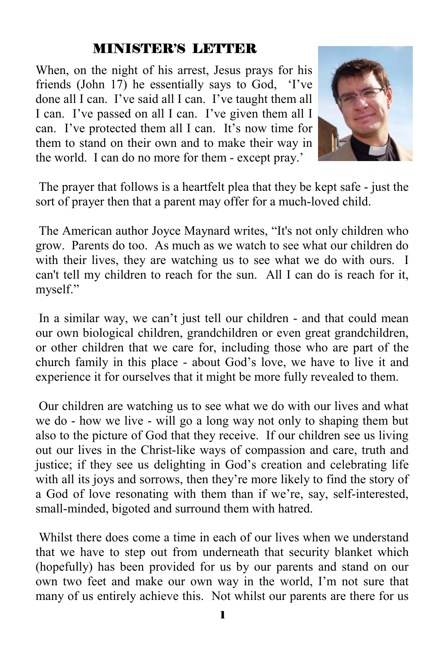# MINISTER'S LETTER

When, on the night of his arrest, Jesus prays for his friends (John 17) he essentially says to God, 'I've done all I can. I've said all I can. I've taught them all I can. I've passed on all I can. I've given them all I can. I've protected them all I can. It's now time for them to stand on their own and to make their way in the world. I can do no more for them - except pray.'



 The prayer that follows is a heartfelt plea that they be kept safe - just the sort of prayer then that a parent may offer for a much-loved child.

 The American author Joyce Maynard writes, "It's not only children who grow. Parents do too. As much as we watch to see what our children do with their lives, they are watching us to see what we do with ours. I can't tell my children to reach for the sun. All I can do is reach for it, myself."

 In a similar way, we can't just tell our children - and that could mean our own biological children, grandchildren or even great grandchildren, or other children that we care for, including those who are part of the church family in this place - about God's love, we have to live it and experience it for ourselves that it might be more fully revealed to them.

 Our children are watching us to see what we do with our lives and what we do - how we live - will go a long way not only to shaping them but also to the picture of God that they receive. If our children see us living out our lives in the Christ-like ways of compassion and care, truth and justice; if they see us delighting in God's creation and celebrating life with all its joys and sorrows, then they're more likely to find the story of a God of love resonating with them than if we're, say, self-interested, small-minded, bigoted and surround them with hatred.

 Whilst there does come a time in each of our lives when we understand that we have to step out from underneath that security blanket which (hopefully) has been provided for us by our parents and stand on our own two feet and make our own way in the world, I'm not sure that many of us entirely achieve this. Not whilst our parents are there for us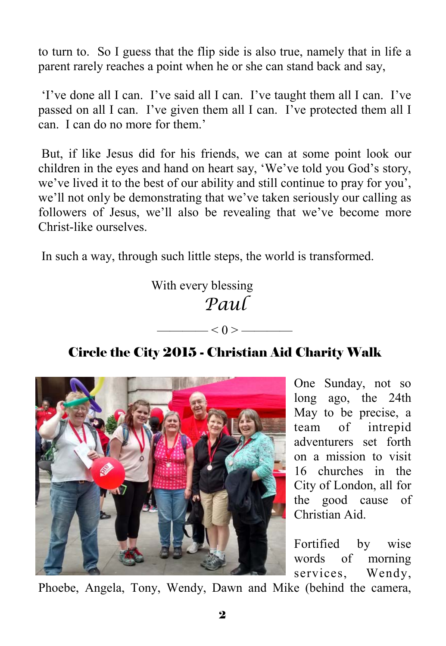to turn to. So I guess that the flip side is also true, namely that in life a parent rarely reaches a point when he or she can stand back and say,

 'I've done all I can. I've said all I can. I've taught them all I can. I've passed on all I can. I've given them all I can. I've protected them all I can. I can do no more for them.'

 But, if like Jesus did for his friends, we can at some point look our children in the eyes and hand on heart say, 'We've told you God's story, we've lived it to the best of our ability and still continue to pray for you', we'll not only be demonstrating that we've taken seriously our calling as followers of Jesus, we'll also be revealing that we've become more Christ-like ourselves.

In such a way, through such little steps, the world is transformed.

 With every blessing *Paul* 

# Circle the City 2015 - Christian Aid Charity Walk

 $-$  < 0 >  $-$ 



One Sunday, not so long ago, the 24th May to be precise, a team of intrepid adventurers set forth on a mission to visit 16 churches in the City of London, all for the good cause of Christian Aid.

Fortified by wise words of morning services, Wendy,

Phoebe, Angela, Tony, Wendy, Dawn and Mike (behind the camera,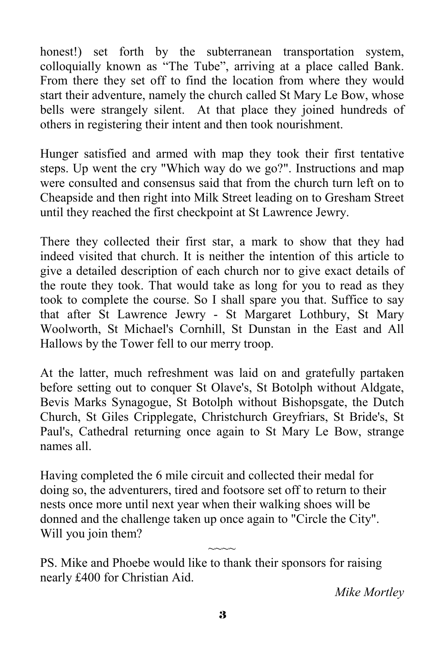honest!) set forth by the subterranean transportation system, colloquially known as "The Tube", arriving at a place called Bank. From there they set off to find the location from where they would start their adventure, namely the church called St Mary Le Bow, whose bells were strangely silent. At that place they joined hundreds of others in registering their intent and then took nourishment.

Hunger satisfied and armed with map they took their first tentative steps. Up went the cry "Which way do we go?". Instructions and map were consulted and consensus said that from the church turn left on to Cheapside and then right into Milk Street leading on to Gresham Street until they reached the first checkpoint at St Lawrence Jewry.

There they collected their first star, a mark to show that they had indeed visited that church. It is neither the intention of this article to give a detailed description of each church nor to give exact details of the route they took. That would take as long for you to read as they took to complete the course. So I shall spare you that. Suffice to say that after St Lawrence Jewry - St Margaret Lothbury, St Mary Woolworth, St Michael's Cornhill, St Dunstan in the East and All Hallows by the Tower fell to our merry troop.

At the latter, much refreshment was laid on and gratefully partaken before setting out to conquer St Olave's, St Botolph without Aldgate, Bevis Marks Synagogue, St Botolph without Bishopsgate, the Dutch Church, St Giles Cripplegate, Christchurch Greyfriars, St Bride's, St Paul's, Cathedral returning once again to St Mary Le Bow, strange names all.

Having completed the 6 mile circuit and collected their medal for doing so, the adventurers, tired and footsore set off to return to their nests once more until next year when their walking shoes will be donned and the challenge taken up once again to "Circle the City". Will you join them?

PS. Mike and Phoebe would like to thank their sponsors for raising nearly £400 for Christian Aid.

*Mike Mortley*

 $\sim$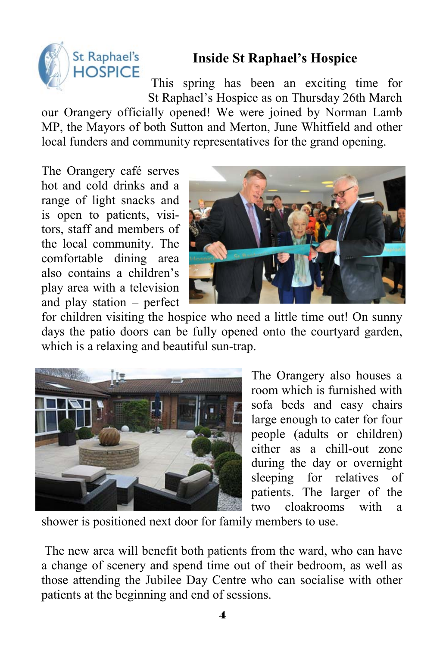

# **Inside St Raphael's Hospice**

 This spring has been an exciting time for St Raphael's Hospice as on Thursday 26th March

our Orangery officially opened! We were joined by Norman Lamb MP, the Mayors of both Sutton and Merton, June Whitfield and other local funders and community representatives for the grand opening.

The Orangery café serves hot and cold drinks and a range of light snacks and is open to patients, visitors, staff and members of the local community. The comfortable dining area also contains a children's play area with a television and play station – perfect



for children visiting the hospice who need a little time out! On sunny days the patio doors can be fully opened onto the courtyard garden, which is a relaxing and beautiful sun-trap.



The Orangery also houses a room which is furnished with sofa beds and easy chairs large enough to cater for four people (adults or children) either as a chill-out zone during the day or overnight sleeping for relatives of patients. The larger of the two cloakrooms with a

shower is positioned next door for family members to use.

 The new area will benefit both patients from the ward, who can have a change of scenery and spend time out of their bedroom, as well as those attending the Jubilee Day Centre who can socialise with other patients at the beginning and end of sessions.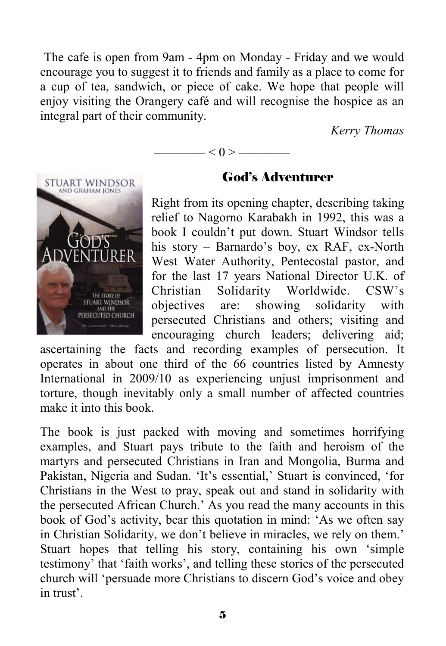The cafe is open from 9am - 4pm on Monday - Friday and we would encourage you to suggest it to friends and family as a place to come for a cup of tea, sandwich, or piece of cake. We hope that people will enjoy visiting the Orangery café and will recognise the hospice as an integral part of their community.

—— $<$  () > —

*Kerry Thomas* 



## God's Adventurer

Right from its opening chapter, describing taking relief to Nagorno Karabakh in 1992, this was a book I couldn't put down. Stuart Windsor tells his story – Barnardo's boy, ex RAF, ex-North West Water Authority, Pentecostal pastor, and for the last 17 years National Director U.K. of Christian Solidarity Worldwide. CSW's objectives are: showing solidarity with persecuted Christians and others; visiting and encouraging church leaders; delivering aid;

ascertaining the facts and recording examples of persecution. It operates in about one third of the 66 countries listed by Amnesty International in 2009/10 as experiencing unjust imprisonment and torture, though inevitably only a small number of affected countries make it into this book.

The book is just packed with moving and sometimes horrifying examples, and Stuart pays tribute to the faith and heroism of the martyrs and persecuted Christians in Iran and Mongolia, Burma and Pakistan, Nigeria and Sudan. 'It's essential,' Stuart is convinced, 'for Christians in the West to pray, speak out and stand in solidarity with the persecuted African Church.' As you read the many accounts in this book of God's activity, bear this quotation in mind: 'As we often say in Christian Solidarity, we don't believe in miracles, we rely on them.' Stuart hopes that telling his story, containing his own 'simple testimony' that 'faith works', and telling these stories of the persecuted church will 'persuade more Christians to discern God's voice and obey in trust'.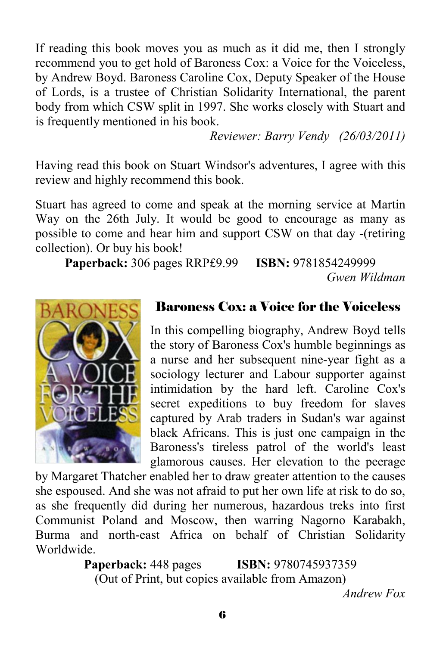If reading this book moves you as much as it did me, then I strongly recommend you to get hold of Baroness Cox: a Voice for the Voiceless, by Andrew Boyd. Baroness Caroline Cox, Deputy Speaker of the House of Lords, is a trustee of Christian Solidarity International, the parent body from which CSW split in 1997. She works closely with Stuart and is frequently mentioned in his book.

 *Reviewer: Barry Vendy (26/03/2011)* 

Having read this book on Stuart Windsor's adventures, I agree with this review and highly recommend this book.

Stuart has agreed to come and speak at the morning service at Martin Way on the 26th July. It would be good to encourage as many as possible to come and hear him and support CSW on that day -(retiring collection). Or buy his book!

**Paperback:** 306 pages RRP£9.99 **ISBN:** 9781854249999 *Gwen Wildman* 



# Baroness Cox: a Voice for the Voiceless

In this compelling biography, Andrew Boyd tells the story of Baroness Cox's humble beginnings as a nurse and her subsequent nine-year fight as a sociology lecturer and Labour supporter against intimidation by the hard left. Caroline Cox's secret expeditions to buy freedom for slaves captured by Arab traders in Sudan's war against black Africans. This is just one campaign in the Baroness's tireless patrol of the world's least glamorous causes. Her elevation to the peerage

by Margaret Thatcher enabled her to draw greater attention to the causes she espoused. And she was not afraid to put her own life at risk to do so, as she frequently did during her numerous, hazardous treks into first Communist Poland and Moscow, then warring Nagorno Karabakh, Burma and north-east Africa on behalf of Christian Solidarity Worldwide.

**Paperback:** 448 pages **ISBN:** 9780745937359 (Out of Print, but copies available from Amazon)

*Andrew Fox*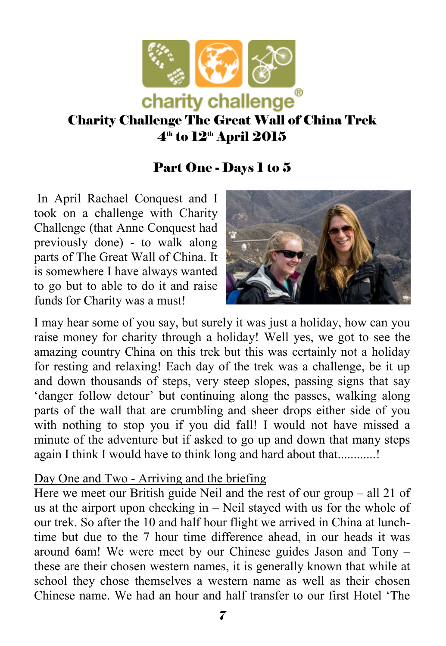

# Charity Challenge The Great Wall of China Trek  $4<sup>th</sup>$  to  $12<sup>th</sup>$  April 2015

# Part One - Days 1 to 5

 In April Rachael Conquest and I took on a challenge with Charity Challenge (that Anne Conquest had previously done) - to walk along parts of The Great Wall of China. It is somewhere I have always wanted to go but to able to do it and raise funds for Charity was a must!



I may hear some of you say, but surely it was just a holiday, how can you raise money for charity through a holiday! Well yes, we got to see the amazing country China on this trek but this was certainly not a holiday for resting and relaxing! Each day of the trek was a challenge, be it up and down thousands of steps, very steep slopes, passing signs that say 'danger follow detour' but continuing along the passes, walking along parts of the wall that are crumbling and sheer drops either side of you with nothing to stop you if you did fall! I would not have missed a minute of the adventure but if asked to go up and down that many steps again I think I would have to think long and hard about that...........!

#### Day One and Two - Arriving and the briefing

Here we meet our British guide Neil and the rest of our group – all 21 of us at the airport upon checking in – Neil stayed with us for the whole of our trek. So after the 10 and half hour flight we arrived in China at lunchtime but due to the 7 hour time difference ahead, in our heads it was around 6am! We were meet by our Chinese guides Jason and Tony – these are their chosen western names, it is generally known that while at school they chose themselves a western name as well as their chosen Chinese name. We had an hour and half transfer to our first Hotel 'The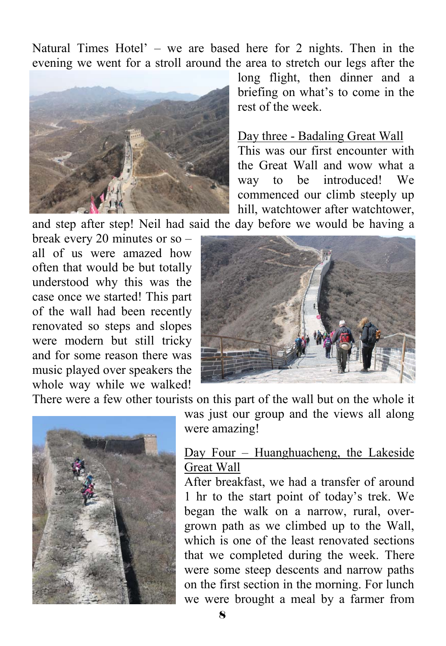Natural Times Hotel' – we are based here for 2 nights. Then in the evening we went for a stroll around the area to stretch our legs after the



long flight, then dinner and a briefing on what's to come in the rest of the week.

#### Day three - Badaling Great Wall

This was our first encounter with the Great Wall and wow what a way to be introduced! We commenced our climb steeply up hill, watchtower after watchtower,

and step after step! Neil had said the day before we would be having a

break every 20 minutes or so – all of us were amazed how often that would be but totally understood why this was the case once we started! This part of the wall had been recently renovated so steps and slopes were modern but still tricky and for some reason there was music played over speakers the whole way while we walked!



There were a few other tourists on this part of the wall but on the whole it



was just our group and the views all along were amazing!

#### Day Four – Huanghuacheng, the Lakeside Great Wall

After breakfast, we had a transfer of around 1 hr to the start point of today's trek. We began the walk on a narrow, rural, overgrown path as we climbed up to the Wall, which is one of the least renovated sections that we completed during the week. There were some steep descents and narrow paths on the first section in the morning. For lunch we were brought a meal by a farmer from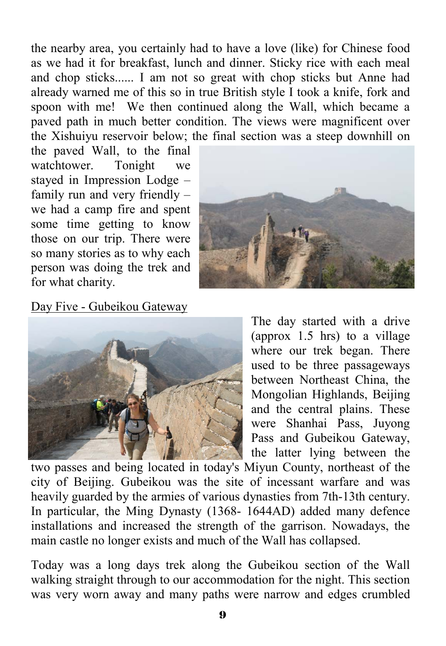the nearby area, you certainly had to have a love (like) for Chinese food as we had it for breakfast, lunch and dinner. Sticky rice with each meal and chop sticks...... I am not so great with chop sticks but Anne had already warned me of this so in true British style I took a knife, fork and spoon with me! We then continued along the Wall, which became a paved path in much better condition. The views were magnificent over the Xishuiyu reservoir below; the final section was a steep downhill on

the paved Wall, to the final watchtower. Tonight we stayed in Impression Lodge – family run and very friendly – we had a camp fire and spent some time getting to know those on our trip. There were so many stories as to why each person was doing the trek and for what charity.



Day Five - Gubeikou Gateway



The day started with a drive (approx 1.5 hrs) to a village where our trek began. There used to be three passageways between Northeast China, the Mongolian Highlands, Beijing and the central plains. These were Shanhai Pass, Juyong Pass and Gubeikou Gateway, the latter lying between the

two passes and being located in today's Miyun County, northeast of the city of Beijing. Gubeikou was the site of incessant warfare and was heavily guarded by the armies of various dynasties from 7th-13th century. In particular, the Ming Dynasty (1368- 1644AD) added many defence installations and increased the strength of the garrison. Nowadays, the main castle no longer exists and much of the Wall has collapsed.

Today was a long days trek along the Gubeikou section of the Wall walking straight through to our accommodation for the night. This section was very worn away and many paths were narrow and edges crumbled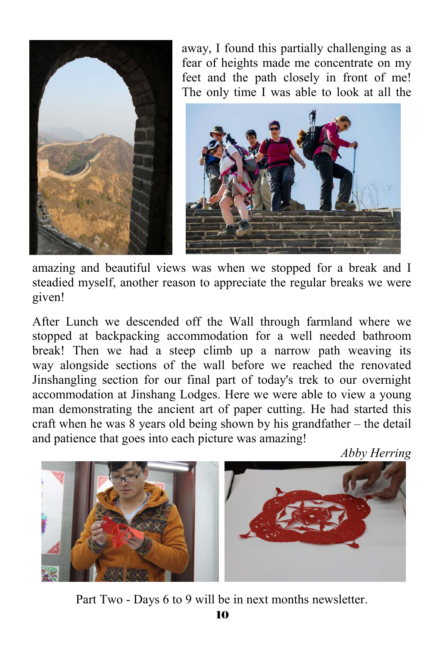

away, I found this partially challenging as a fear of heights made me concentrate on my feet and the path closely in front of me! The only time I was able to look at all the



amazing and beautiful views was when we stopped for a break and I steadied myself, another reason to appreciate the regular breaks we were given!

After Lunch we descended off the Wall through farmland where we stopped at backpacking accommodation for a well needed bathroom break! Then we had a steep climb up a narrow path weaving its way alongside sections of the wall before we reached the renovated Jinshangling section for our final part of today's trek to our overnight accommodation at Jinshang Lodges. Here we were able to view a young man demonstrating the ancient art of paper cutting. He had started this craft when he was 8 years old being shown by his grandfather – the detail and patience that goes into each picture was amazing!

*Abby Herring* 



Part Two - Days 6 to 9 will be in next months newsletter.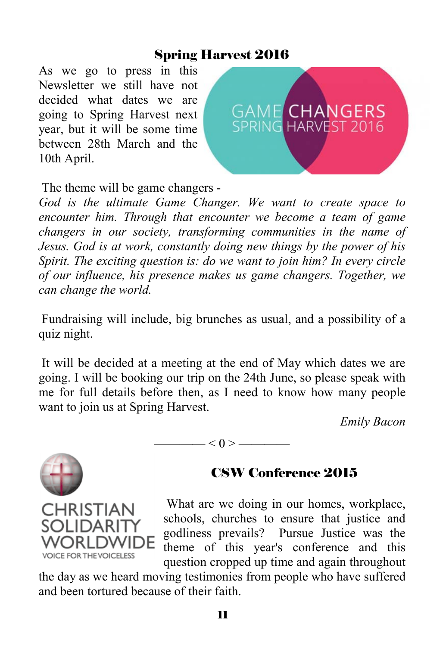## Spring Harvest 2016

As we go to press in this Newsletter we still have not decided what dates we are going to Spring Harvest next year, but it will be some time between 28th March and the 10th April.



The theme will be game changers -

*God is the ultimate Game Changer. We want to create space to encounter him. Through that encounter we become a team of game changers in our society, transforming communities in the name of Jesus. God is at work, constantly doing new things by the power of his Spirit. The exciting question is: do we want to join him? In every circle of our influence, his presence makes us game changers. Together, we can change the world.*

 Fundraising will include, big brunches as usual, and a possibility of a quiz night.

 It will be decided at a meeting at the end of May which dates we are going. I will be booking our trip on the 24th June, so please speak with me for full details before then, as I need to know how many people want to join us at Spring Harvest.

*Emily Bacon* 



**CHRISTIAN** 

**VOICE FOR THE VOICELESS** 

#### $-$  < 0 >  $-$

# CSW Conference 2015

 What are we doing in our homes, workplace, schools, churches to ensure that justice and godliness prevails? Pursue Justice was the theme of this year's conference and this question cropped up time and again throughout

the day as we heard moving testimonies from people who have suffered and been tortured because of their faith.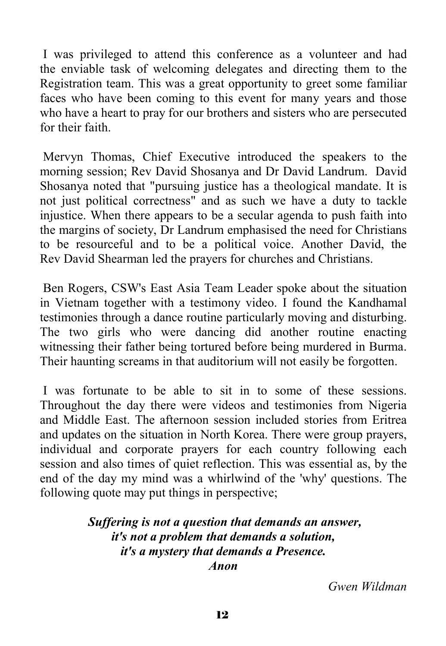I was privileged to attend this conference as a volunteer and had the enviable task of welcoming delegates and directing them to the Registration team. This was a great opportunity to greet some familiar faces who have been coming to this event for many years and those who have a heart to pray for our brothers and sisters who are persecuted for their faith.

 Mervyn Thomas, Chief Executive introduced the speakers to the morning session; Rev David Shosanya and Dr David Landrum. David Shosanya noted that "pursuing justice has a theological mandate. It is not just political correctness" and as such we have a duty to tackle injustice. When there appears to be a secular agenda to push faith into the margins of society, Dr Landrum emphasised the need for Christians to be resourceful and to be a political voice. Another David, the Rev David Shearman led the prayers for churches and Christians.

 Ben Rogers, CSW's East Asia Team Leader spoke about the situation in Vietnam together with a testimony video. I found the Kandhamal testimonies through a dance routine particularly moving and disturbing. The two girls who were dancing did another routine enacting witnessing their father being tortured before being murdered in Burma. Their haunting screams in that auditorium will not easily be forgotten.

 I was fortunate to be able to sit in to some of these sessions. Throughout the day there were videos and testimonies from Nigeria and Middle East. The afternoon session included stories from Eritrea and updates on the situation in North Korea. There were group prayers, individual and corporate prayers for each country following each session and also times of quiet reflection. This was essential as, by the end of the day my mind was a whirlwind of the 'why' questions. The following quote may put things in perspective;

#### *Suffering is not a question that demands an answer, it's not a problem that demands a solution, it's a mystery that demands a Presence. Anon*

*Gwen Wildman*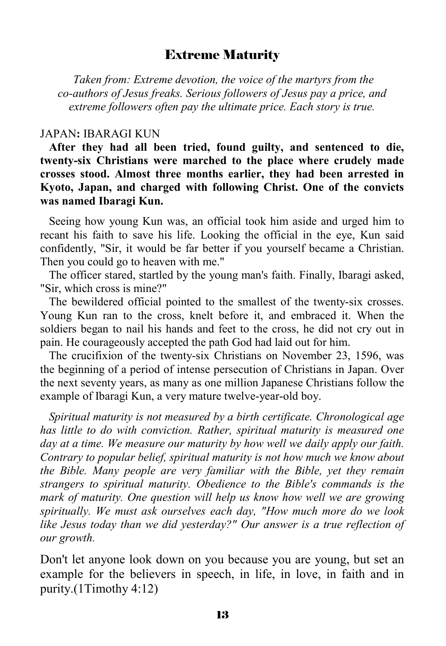#### Extreme Maturity

 *Taken from: Extreme devotion, the voice of the martyrs from the co-authors of Jesus freaks. Serious followers of Jesus pay a price, and extreme followers often pay the ultimate price. Each story is true.* 

#### JAPAN**:** IBARAGI KUN

 **After they had all been tried, found guilty, and sentenced to die, twenty-six Christians were marched to the place where crudely made crosses stood. Almost three months earlier, they had been arrested in Kyoto, Japan, and charged with following Christ. One of the convicts was named Ibaragi Kun.** 

 Seeing how young Kun was, an official took him aside and urged him to recant his faith to save his life. Looking the official in the eye, Kun said confidently, "Sir, it would be far better if you yourself became a Christian. Then you could go to heaven with me."

 The officer stared, startled by the young man's faith. Finally, Ibaragi asked, "Sir, which cross is mine?"

 The bewildered official pointed to the smallest of the twenty-six crosses. Young Kun ran to the cross, knelt before it, and embraced it. When the soldiers began to nail his hands and feet to the cross, he did not cry out in pain. He courageously accepted the path God had laid out for him.

 The crucifixion of the twenty-six Christians on November 23, 1596, was the beginning of a period of intense persecution of Christians in Japan. Over the next seventy years, as many as one million Japanese Christians follow the example of Ibaragi Kun, a very mature twelve-year-old boy.

 *Spiritual maturity is not measured by a birth certificate. Chronological age has little to do with conviction. Rather, spiritual maturity is measured one day at a time. We measure our maturity by how well we daily apply our faith. Contrary to popular belief, spiritual maturity is not how much we know about the Bible. Many people are very familiar with the Bible, yet they remain strangers to spiritual maturity. Obedience to the Bible's commands is the mark of maturity. One question will help us know how well we are growing spiritually. We must ask ourselves each day, "How much more do we look like Jesus today than we did yesterday?" Our answer is a true reflection of our growth.* 

Don't let anyone look down on you because you are young, but set an example for the believers in speech, in life, in love, in faith and in purity.(1Timothy 4:12)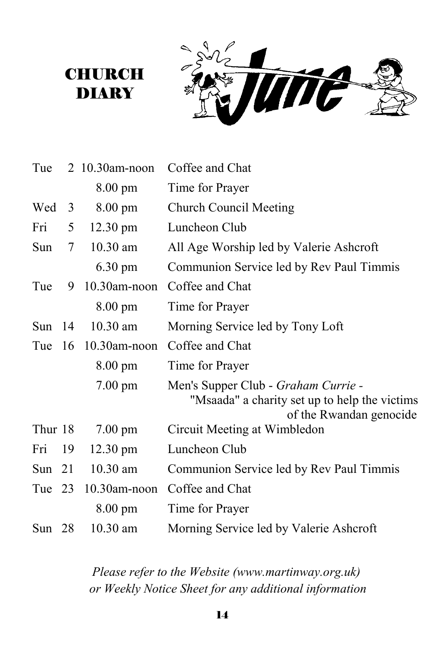**Tine** 

| Tue      |    | 2 10.30am-noon     | Coffee and Chat                                                                                                        |
|----------|----|--------------------|------------------------------------------------------------------------------------------------------------------------|
|          |    | $8.00 \text{ pm}$  | Time for Prayer                                                                                                        |
| Wed      | 3  | $8.00 \text{ pm}$  | <b>Church Council Meeting</b>                                                                                          |
| Fri      | 5  | $12.30 \text{ pm}$ | Luncheon Club                                                                                                          |
| Sun      | 7  | 10.30 am           | All Age Worship led by Valerie Ashcroft                                                                                |
|          |    | 6.30 pm            | Communion Service led by Rev Paul Timmis                                                                               |
| Tue      | 9  | $10.30$ am-noon    | Coffee and Chat                                                                                                        |
|          |    | $8.00 \text{ pm}$  | Time for Prayer                                                                                                        |
| Sun $14$ |    | 10.30 am           | Morning Service led by Tony Loft                                                                                       |
| Tue      | 16 | $10.30$ am-noon    | Coffee and Chat                                                                                                        |
|          |    | $8.00 \text{ pm}$  | Time for Prayer                                                                                                        |
|          |    | $7.00 \text{ pm}$  | Men's Supper Club - <i>Graham Currie</i> -<br>"Msaada" a charity set up to help the victims<br>of the Rwandan genocide |
| Thur 18  |    | $7.00 \text{ pm}$  | Circuit Meeting at Wimbledon                                                                                           |
| Fri      | 19 | $12.30 \text{ pm}$ | Luncheon Club                                                                                                          |
| Sun      | 21 | 10.30 am           | Communion Service led by Rev Paul Timmis                                                                               |
| Tue 23   |    | 10.30am-noon       | Coffee and Chat                                                                                                        |
|          |    | 8.00 pm            | Time for Prayer                                                                                                        |
| Sun $28$ |    | $10.30$ am         | Morning Service led by Valerie Ashcroft                                                                                |

**CHURCH** DIARY

> *Please refer to the Website (www.martinway.org.uk) or Weekly Notice Sheet for any additional information*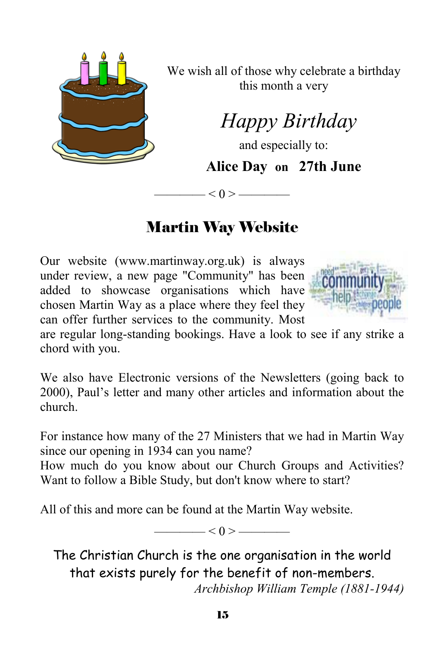

We wish all of those why celebrate a birthday this month a very

# *Happy Birthday*

and especially to:

**Alice Day on 27th June** 

# Martin Way Website

———— < 0 > ————

Our website (www.martinway.org.uk) is always under review, a new page "Community" has been added to showcase organisations which have chosen Martin Way as a place where they feel they can offer further services to the community. Most



are regular long-standing bookings. Have a look to see if any strike a chord with you.

We also have Electronic versions of the Newsletters (going back to 2000), Paul's letter and many other articles and information about the church.

For instance how many of the 27 Ministers that we had in Martin Way since our opening in 1934 can you name?

How much do you know about our Church Groups and Activities? Want to follow a Bible Study, but don't know where to start?

All of this and more can be found at the Martin Way website.

 $\qquad$   $\leq$  0  $>$   $\qquad$ 

The Christian Church is the one organisation in the world that exists purely for the benefit of non-members. *Archbishop William Temple (1881-1944)*